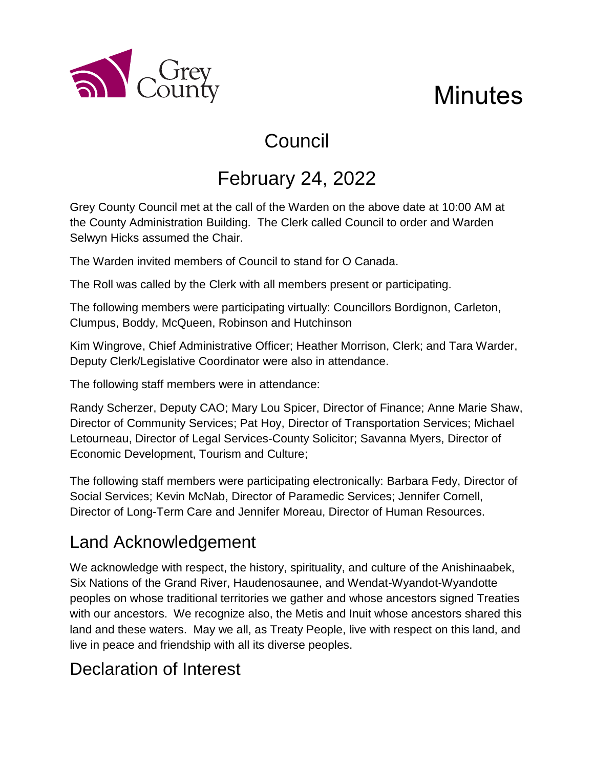

# Council

# February 24, 2022

Grey County Council met at the call of the Warden on the above date at 10:00 AM at the County Administration Building. The Clerk called Council to order and Warden Selwyn Hicks assumed the Chair.

The Warden invited members of Council to stand for O Canada.

The Roll was called by the Clerk with all members present or participating.

The following members were participating virtually: Councillors Bordignon, Carleton, Clumpus, Boddy, McQueen, Robinson and Hutchinson

Kim Wingrove, Chief Administrative Officer; Heather Morrison, Clerk; and Tara Warder, Deputy Clerk/Legislative Coordinator were also in attendance.

The following staff members were in attendance:

Randy Scherzer, Deputy CAO; Mary Lou Spicer, Director of Finance; Anne Marie Shaw, Director of Community Services; Pat Hoy, Director of Transportation Services; Michael Letourneau, Director of Legal Services-County Solicitor; Savanna Myers, Director of Economic Development, Tourism and Culture;

The following staff members were participating electronically: Barbara Fedy, Director of Social Services; Kevin McNab, Director of Paramedic Services; Jennifer Cornell, Director of Long-Term Care and Jennifer Moreau, Director of Human Resources.

### Land Acknowledgement

a County

We acknowledge with respect, the history, spirituality, and culture of the Anishinaabek, Six Nations of the Grand River, Haudenosaunee, and Wendat-Wyandot-Wyandotte peoples on whose traditional territories we gather and whose ancestors signed Treaties with our ancestors. We recognize also, the Metis and Inuit whose ancestors shared this land and these waters. May we all, as Treaty People, live with respect on this land, and live in peace and friendship with all its diverse peoples.

## Declaration of Interest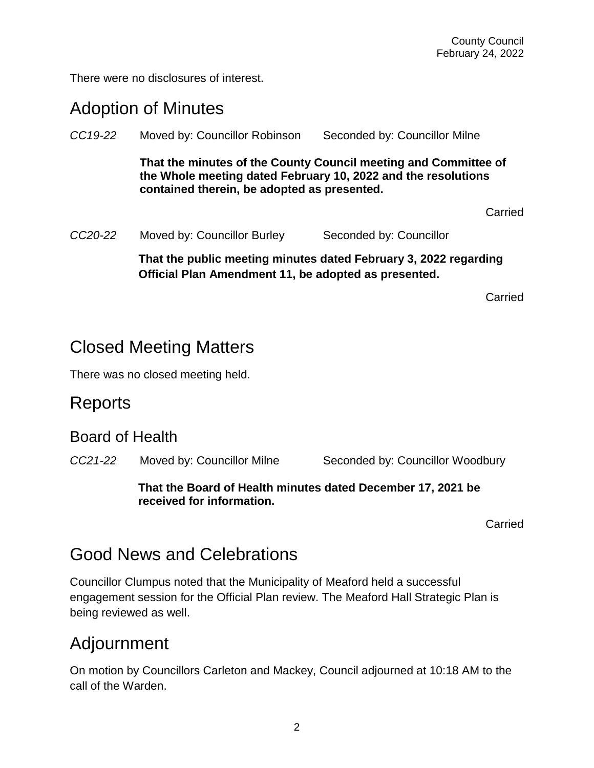There were no disclosures of interest.

#### Adoption of Minutes

| CC19-22              | Moved by: Councillor Robinson                                                                                                                                                   | Seconded by: Councillor Milne |  |
|----------------------|---------------------------------------------------------------------------------------------------------------------------------------------------------------------------------|-------------------------------|--|
|                      | That the minutes of the County Council meeting and Committee of<br>the Whole meeting dated February 10, 2022 and the resolutions<br>contained therein, be adopted as presented. |                               |  |
|                      |                                                                                                                                                                                 | Carried                       |  |
| CC <sub>20</sub> -22 | Moved by: Councillor Burley                                                                                                                                                     | Seconded by: Councillor       |  |
|                      | That the public meeting minutes dated February 3, 2022 regarding<br>Official Plan Amendment 11, be adopted as presented.                                                        |                               |  |

Carried

#### Closed Meeting Matters

There was no closed meeting held.

#### **Reports**

#### Board of Health

*CC21-22* Moved by: Councillor Milne Seconded by: Councillor Woodbury

#### **That the Board of Health minutes dated December 17, 2021 be received for information.**

Carried

### Good News and Celebrations

Councillor Clumpus noted that the Municipality of Meaford held a successful engagement session for the Official Plan review. The Meaford Hall Strategic Plan is being reviewed as well.

### Adjournment

On motion by Councillors Carleton and Mackey, Council adjourned at 10:18 AM to the call of the Warden.